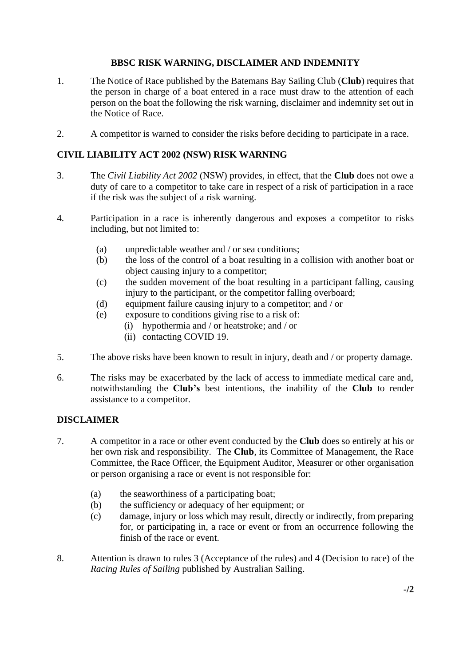# **BBSC RISK WARNING, DISCLAIMER AND INDEMNITY**

- 1. The Notice of Race published by the Batemans Bay Sailing Club (**Club**) requires that the person in charge of a boat entered in a race must draw to the attention of each person on the boat the following the risk warning, disclaimer and indemnity set out in the Notice of Race.
- 2. A competitor is warned to consider the risks before deciding to participate in a race.

# **CIVIL LIABILITY ACT 2002 (NSW) RISK WARNING**

- 3. The *Civil Liability Act 2002* (NSW) provides, in effect, that the **Club** does not owe a duty of care to a competitor to take care in respect of a risk of participation in a race if the risk was the subject of a risk warning.
- 4. Participation in a race is inherently dangerous and exposes a competitor to risks including, but not limited to:
	- (a) unpredictable weather and / or sea conditions;
	- (b) the loss of the control of a boat resulting in a collision with another boat or object causing injury to a competitor;
	- (c) the sudden movement of the boat resulting in a participant falling, causing injury to the participant, or the competitor falling overboard;
	- (d) equipment failure causing injury to a competitor; and / or
	- (e) exposure to conditions giving rise to a risk of:
		- (i) hypothermia and / or heatstroke; and / or
		- (ii) contacting COVID 19.
- 5. The above risks have been known to result in injury, death and / or property damage.
- 6. The risks may be exacerbated by the lack of access to immediate medical care and, notwithstanding the **Club's** best intentions, the inability of the **Club** to render assistance to a competitor.

## **DISCLAIMER**

- 7. A competitor in a race or other event conducted by the **Club** does so entirely at his or her own risk and responsibility. The **Club**, its Committee of Management, the Race Committee, the Race Officer, the Equipment Auditor, Measurer or other organisation or person organising a race or event is not responsible for:
	- (a) the seaworthiness of a participating boat;
	- (b) the sufficiency or adequacy of her equipment; or
	- (c) damage, injury or loss which may result, directly or indirectly, from preparing for, or participating in, a race or event or from an occurrence following the finish of the race or event.
- 8. Attention is drawn to rules 3 (Acceptance of the rules) and 4 (Decision to race) of the *Racing Rules of Sailing* published by Australian Sailing.